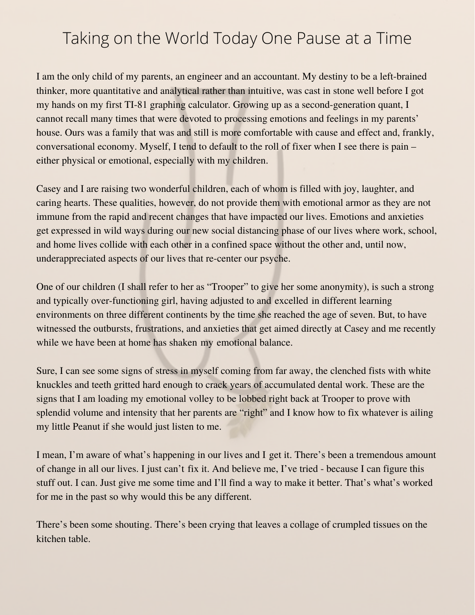## Taking on the World Today One Pause at a Time

I am the only child of my parents, an engineer and an accountant. My destiny to be a left-brained thinker, more quantitative and analytical rather than intuitive, was cast in stone well before I got my hands on my first TI-81 graphing calculator. Growing up as a second-generation quant, I cannot recall many times that were devoted to processing emotions and feelings in my parents' house. Ours was a family that was and still is more comfortable with cause and effect and, frankly, conversational economy. Myself, I tend to default to the roll of fixer when I see there is pain – either physical or emotional, especially with my children.

Casey and I are raising two wonderful children, each of whom is filled with joy, laughter, and caring hearts. These qualities, however, do not provide them with emotional armor as they are not immune from the rapid and recent changes that have impacted our lives. Emotions and anxieties get expressed in wild ways during our new social distancing phase of our lives where work, school, and home lives collide with each other in a confined space without the other and, until now, underappreciated aspects of our lives that re-center our psyche.

One of our children (I shall refer to her as "Trooper" to give her some anonymity), is such a strong and typically over-functioning girl, having adjusted to and excelled in different learning environments on three different continents by the time she reached the age of seven. But, to have witnessed the outbursts, frustrations, and anxieties that get aimed directly at Casey and me recently while we have been at home has shaken my emotional balance.

Sure, I can see some signs of stress in myself coming from far away, the clenched fists with white knuckles and teeth gritted hard enough to crack years of accumulated dental work. These are the signs that I am loading my emotional volley to be lobbed right back at Trooper to prove with splendid volume and intensity that her parents are "right" and I know how to fix whatever is ailing my little Peanut if she would just listen to me.

I mean, I'm aware of what's happening in our lives and I get it. There's been a tremendous amount of change in all our lives. I just can't fix it. And believe me, I've tried - because I can figure this stuff out. I can. Just give me some time and I'll find a way to make it better. That's what's worked for me in the past so why would this be any different.

There's been some shouting. There's been crying that leaves a collage of crumpled tissues on the kitchen table.